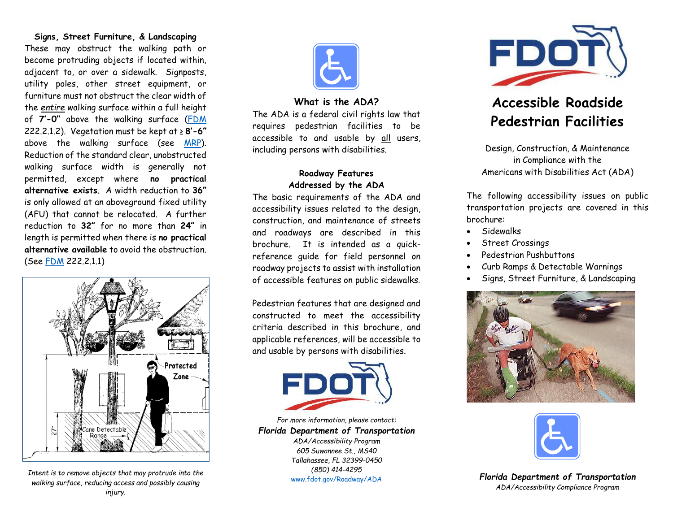#### **Signs, Street Furniture, & Landscaping**

These may obstruct the walking path or become protruding objects if located within, adjacent to, or over a sidewalk. Signposts, utility poles, other street equipment, or furniture must not obstruct the clear width of the *entire* walking surface within a full height of **7'-0"** above the walking surface [\(FDM](https://www.fdot.gov/roadway/fdm/) 222.2.1.2). Vegetation must be kept at ≥ **8'-6"** above the walking surface (see [MRP\)](https://www.fdot.gov/maintenance/maintratingprogram.shtm). Reduction of the standard clear, unobstructed walking surface width is generally not permitted, except where **no practical alternative exists**. A width reduction to **36"** is only allowed at an aboveground fixed utility (AFU) that cannot be relocated. A further reduction to **32"** for no more than **24"** in length is permitted when there is **no practical alternative available** to avoid the obstruction. (See [FDM](https://www.fdot.gov/roadway/fdm/) 222.2.1.1)



*Intent is to remove objects that may protrude into the walking surface, reducing access and possibly causing injury.*



#### **What is the ADA?**

The ADA is a federal civil rights law that requires pedestrian facilities to be accessible to and usable by all users, including persons with disabilities.

# **Roadway Features Addressed by the ADA**

The basic requirements of the ADA and accessibility issues related to the design, construction, and maintenance of streets and roadways are described in this brochure. It is intended as a quickreference guide for field personnel on roadway projects to assist with installation of accessible features on public sidewalks.

Pedestrian features that are designed and constructed to meet the accessibility criteria described in this brochure, and applicable references, will be accessible to and usable by persons with disabilities.



*For more information, please contact: Florida Department of Transportation ADA/Accessibility Program 605 Suwannee St., MS40 Tallahassee, FL 32399-0450*

*(850) 414-4295* [www.fdot.gov/Roadway/ADA](http://www.fdot.gov/Roadway/ADA/default.shtm)



# **Accessible Roadside Pedestrian Facilities**

Design, Construction, & Maintenance in Compliance with the Americans with Disabilities Act (ADA)

The following accessibility issues on public transportation projects are covered in this brochure:

- Sidewalks
- Street Crossings
- Pedestrian Pushbuttons
- Curb Ramps & Detectable Warnings
- Signs, Street Furniture, & Landscaping





*Florida Department of Transportation ADA/Accessibility Compliance Program*